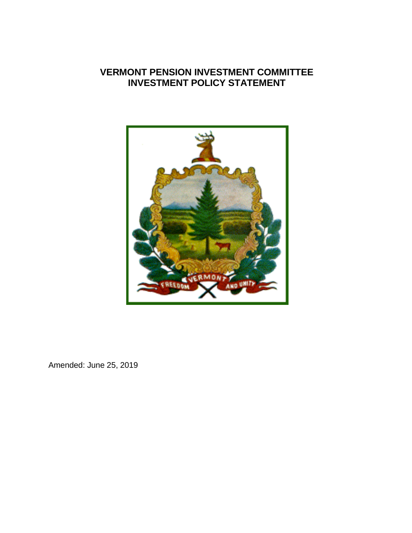

Amended: June 25, 2019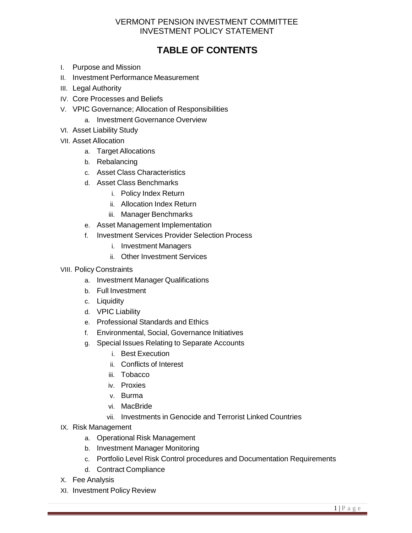# **TABLE OF CONTENTS**

- I. Purpose and Mission
- II. Investment Performance Measurement
- III. Legal Authority
- IV. Core Processes and Beliefs
- V. VPIC Governance; Allocation of Responsibilities
	- a. Investment Governance Overview
- VI. Asset Liability Study
- VII. Asset Allocation
	- a. Target Allocations
	- b. Rebalancing
	- c. Asset Class Characteristics
	- d. Asset Class Benchmarks
		- i. Policy Index Return
		- ii. Allocation Index Return
		- iii. Manager Benchmarks
	- e. Asset Management Implementation
	- f. Investment Services Provider Selection Process
		- i. Investment Managers
		- ii. Other Investment Services
- VIII. Policy Constraints
	- a. Investment Manager Qualifications
	- b. Full Investment
	- c. Liquidity
	- d. VPIC Liability
	- e. Professional Standards and Ethics
	- f. Environmental, Social, Governance Initiatives
	- g. Special Issues Relating to Separate Accounts
		- i. Best Execution
		- ii. Conflicts of Interest
		- iii. Tobacco
		- iv. Proxies
		- v. Burma
		- vi. MacBride
		- vii. Investments in Genocide and Terrorist Linked Countries
- IX. Risk Management
	- a. Operational Risk Management
	- b. Investment Manager Monitoring
	- c. Portfolio Level Risk Control procedures and Documentation Requirements
	- d. Contract Compliance
- X. Fee Analysis
- XI. Investment Policy Review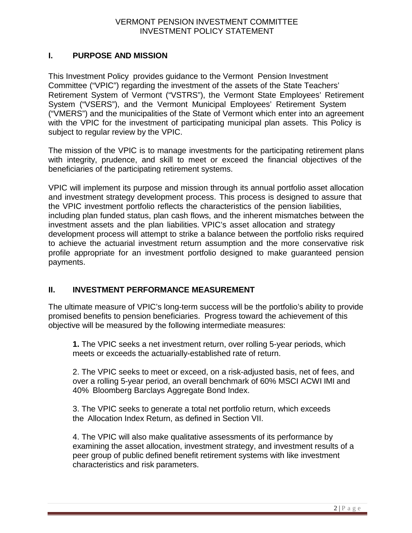## **I. PURPOSE AND MISSION**

This Investment Policy provides guidance to the Vermont Pension Investment Committee ("VPIC") regarding the investment of the assets of the State Teachers' Retirement System of Vermont ("VSTRS"), the Vermont State Employees' Retirement System ("VSERS"), and the Vermont Municipal Employees' Retirement System ("VMERS") and the municipalities of the State of Vermont which enter into an agreement with the VPIC for the investment of participating municipal plan assets. This Policy is subject to regular review by the VPIC.

The mission of the VPIC is to manage investments for the participating retirement plans with integrity, prudence, and skill to meet or exceed the financial objectives of the beneficiaries of the participating retirement systems.

VPIC will implement its purpose and mission through its annual portfolio asset allocation and investment strategy development process. This process is designed to assure that the VPIC investment portfolio reflects the characteristics of the pension liabilities, including plan funded status, plan cash flows, and the inherent mismatches between the investment assets and the plan liabilities. VPIC's asset allocation and strategy development process will attempt to strike a balance between the portfolio risks required to achieve the actuarial investment return assumption and the more conservative risk profile appropriate for an investment portfolio designed to make guaranteed pension payments.

### **II. INVESTMENT PERFORMANCE MEASUREMENT**

The ultimate measure of VPIC's long-term success will be the portfolio's ability to provide promised benefits to pension beneficiaries. Progress toward the achievement of this objective will be measured by the following intermediate measures:

**1.** The VPIC seeks a net investment return, over rolling 5-year periods, which meets or exceeds the actuarially-established rate of return.

2. The VPIC seeks to meet or exceed, on a risk-adjusted basis, net of fees, and over a rolling 5-year period, an overall benchmark of 60% MSCI ACWI IMI and 40% Bloomberg Barclays Aggregate Bond Index.

3. The VPIC seeks to generate a total net portfolio return, which exceeds the Allocation Index Return, as defined in Section VII.

4. The VPIC will also make qualitative assessments of its performance by examining the asset allocation, investment strategy, and investment results of a peer group of public defined benefit retirement systems with like investment characteristics and risk parameters.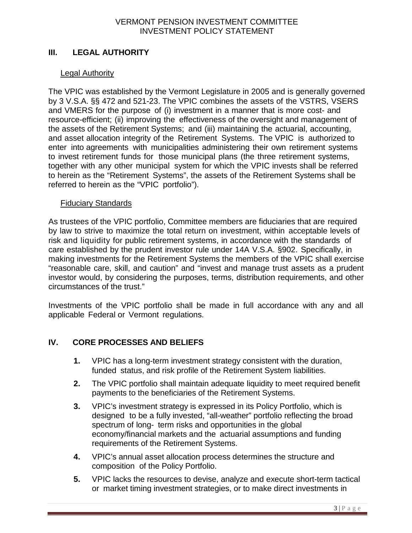## **III. LEGAL AUTHORITY**

#### Legal Authority

The VPIC was established by the Vermont Legislature in 2005 and is generally governed by 3 V.S.A. §§ 472 and 521-23. The VPIC combines the assets of the VSTRS, VSERS and VMERS for the purpose of (i) investment in a manner that is more cost- and resource-efficient; (ii) improving the effectiveness of the oversight and management of the assets of the Retirement Systems; and (iii) maintaining the actuarial, accounting, and asset allocation integrity of the Retirement Systems. The VPIC is authorized to enter into agreements with municipalities administering their own retirement systems to invest retirement funds for those municipal plans (the three retirement systems, together with any other municipal system for which the VPIC invests shall be referred to herein as the "Retirement Systems", the assets of the Retirement Systems shall be referred to herein as the "VPIC portfolio").

#### Fiduciary Standards

As trustees of the VPIC portfolio, Committee members are fiduciaries that are required by law to strive to maximize the total return on investment, within acceptable levels of risk and liquidity for public retirement systems, in accordance with the standards of care established by the prudent investor rule under 14A V.S.A. §902. Specifically, in making investments for the Retirement Systems the members of the VPIC shall exercise "reasonable care, skill, and caution" and "invest and manage trust assets as a prudent investor would, by considering the purposes, terms, distribution requirements, and other circumstances of the trust."

Investments of the VPIC portfolio shall be made in full accordance with any and all applicable Federal or Vermont regulations.

## **IV. CORE PROCESSES AND BELIEFS**

- **1.** VPIC has a long-term investment strategy consistent with the duration, funded status, and risk profile of the Retirement System liabilities.
- **2.** The VPIC portfolio shall maintain adequate liquidity to meet required benefit payments to the beneficiaries of the Retirement Systems.
- **3.** VPIC's investment strategy is expressed in its Policy Portfolio, which is designed to be a fully invested, "all-weather" portfolio reflecting the broad spectrum of long- term risks and opportunities in the global economy/financial markets and the actuarial assumptions and funding requirements of the Retirement Systems.
- **4.** VPIC's annual asset allocation process determines the structure and composition of the Policy Portfolio.
- **5.** VPIC lacks the resources to devise, analyze and execute short-term tactical or market timing investment strategies, or to make direct investments in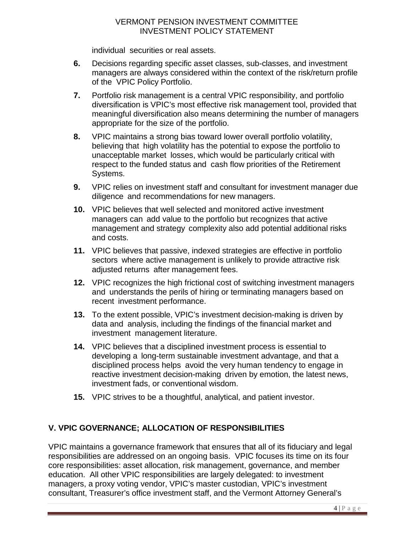individual securities or real assets.

- **6.** Decisions regarding specific asset classes, sub-classes, and investment managers are always considered within the context of the risk/return profile of the VPIC Policy Portfolio.
- **7.** Portfolio risk management is a central VPIC responsibility, and portfolio diversification is VPIC's most effective risk management tool, provided that meaningful diversification also means determining the number of managers appropriate for the size of the portfolio.
- **8.** VPIC maintains a strong bias toward lower overall portfolio volatility, believing that high volatility has the potential to expose the portfolio to unacceptable market losses, which would be particularly critical with respect to the funded status and cash flow priorities of the Retirement Systems.
- **9.** VPIC relies on investment staff and consultant for investment manager due diligence and recommendations for new managers.
- **10.** VPIC believes that well selected and monitored active investment managers can add value to the portfolio but recognizes that active management and strategy complexity also add potential additional risks and costs.
- **11.** VPIC believes that passive, indexed strategies are effective in portfolio sectors where active management is unlikely to provide attractive risk adjusted returns after management fees.
- **12.** VPIC recognizes the high frictional cost of switching investment managers and understands the perils of hiring or terminating managers based on recent investment performance.
- **13.** To the extent possible, VPIC's investment decision-making is driven by data and analysis, including the findings of the financial market and investment management literature.
- **14.** VPIC believes that a disciplined investment process is essential to developing a long-term sustainable investment advantage, and that a disciplined process helps avoid the very human tendency to engage in reactive investment decision-making driven by emotion, the latest news, investment fads, or conventional wisdom.
- **15.** VPIC strives to be a thoughtful, analytical, and patient investor.

## **V. VPIC GOVERNANCE; ALLOCATION OF RESPONSIBILITIES**

VPIC maintains a governance framework that ensures that all of its fiduciary and legal responsibilities are addressed on an ongoing basis. VPIC focuses its time on its four core responsibilities: asset allocation, risk management, governance, and member education. All other VPIC responsibilities are largely delegated: to investment managers, a proxy voting vendor, VPIC's master custodian, VPIC's investment consultant, Treasurer's office investment staff, and the Vermont Attorney General's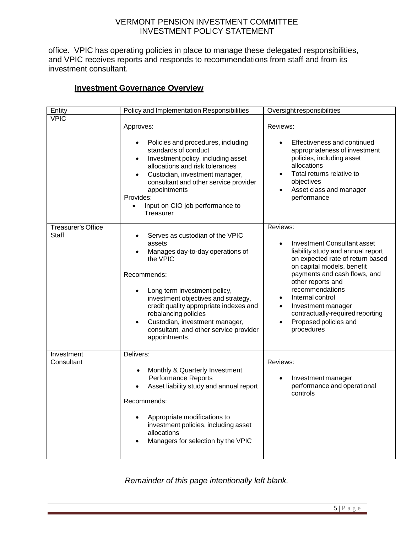office. VPIC has operating policies in place to manage these delegated responsibilities, and VPIC receives reports and responds to recommendations from staff and from its investment consultant.

## **Investment Governance Overview**

| Entity                             | Policy and Implementation Responsibilities                                                                                                                                                                                                                                                                                                                                                         | Oversight responsibilities                                                                                                                                                                                                                                                                                                                                                   |
|------------------------------------|----------------------------------------------------------------------------------------------------------------------------------------------------------------------------------------------------------------------------------------------------------------------------------------------------------------------------------------------------------------------------------------------------|------------------------------------------------------------------------------------------------------------------------------------------------------------------------------------------------------------------------------------------------------------------------------------------------------------------------------------------------------------------------------|
| <b>VPIC</b>                        | Approves:<br>Policies and procedures, including<br>٠<br>standards of conduct<br>Investment policy, including asset<br>$\bullet$<br>allocations and risk tolerances<br>Custodian, investment manager,<br>$\bullet$<br>consultant and other service provider<br>appointments<br>Provides:<br>Input on CIO job performance to<br>Treasurer                                                            | Reviews:<br>Effectiveness and continued<br>appropriateness of investment<br>policies, including asset<br>allocations<br>Total returns relative to<br>objectives<br>Asset class and manager<br>performance                                                                                                                                                                    |
| Treasurer's Office<br><b>Staff</b> | Serves as custodian of the VPIC<br>$\bullet$<br>assets<br>Manages day-to-day operations of<br>$\bullet$<br>the VPIC<br>Recommends:<br>Long term investment policy,<br>$\bullet$<br>investment objectives and strategy,<br>credit quality appropriate indexes and<br>rebalancing policies<br>Custodian, investment manager,<br>$\bullet$<br>consultant, and other service provider<br>appointments. | Reviews:<br><b>Investment Consultant asset</b><br>liability study and annual report<br>on expected rate of return based<br>on capital models, benefit<br>payments and cash flows, and<br>other reports and<br>recommendations<br>Internal control<br>Investment manager<br>$\bullet$<br>contractually-required reporting<br>Proposed policies and<br>$\bullet$<br>procedures |
| Investment<br>Consultant           | Delivers:<br>Monthly & Quarterly Investment<br><b>Performance Reports</b><br>Asset liability study and annual report<br>Recommends:<br>Appropriate modifications to<br>investment policies, including asset<br>allocations<br>Managers for selection by the VPIC                                                                                                                                   | Reviews:<br>Investment manager<br>$\bullet$<br>performance and operational<br>controls                                                                                                                                                                                                                                                                                       |

*Remainder of this page intentionally left blank.*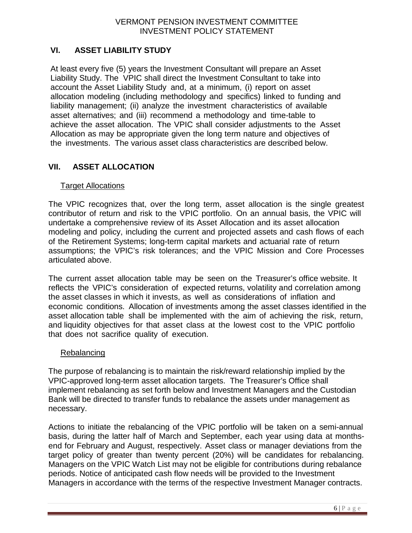## **VI. ASSET LIABILITY STUDY**

At least every five (5) years the Investment Consultant will prepare an Asset Liability Study. The VPIC shall direct the Investment Consultant to take into account the Asset Liability Study and, at a minimum, (i) report on asset allocation modeling (including methodology and specifics) linked to funding and liability management; (ii) analyze the investment characteristics of available asset alternatives; and (iii) recommend a methodology and time-table to achieve the asset allocation. The VPIC shall consider adjustments to the Asset Allocation as may be appropriate given the long term nature and objectives of the investments. The various asset class characteristics are described below.

## **VII. ASSET ALLOCATION**

#### Target Allocations

The VPIC recognizes that, over the long term, asset allocation is the single greatest contributor of return and risk to the VPIC portfolio. On an annual basis, the VPIC will undertake a comprehensive review of its Asset Allocation and its asset allocation modeling and policy, including the current and projected assets and cash flows of each of the Retirement Systems; long-term capital markets and actuarial rate of return assumptions; the VPIC's risk tolerances; and the VPIC Mission and Core Processes articulated above.

The current asset allocation table may be seen on the Treasurer's office website. It reflects the VPIC's consideration of expected returns, volatility and correlation among the asset classes in which it invests, as well as considerations of inflation and economic conditions. Allocation of investments among the asset classes identified in the asset allocation table shall be implemented with the aim of achieving the risk, return, and liquidity objectives for that asset class at the lowest cost to the VPIC portfolio that does not sacrifice quality of execution.

#### Rebalancing

The purpose of rebalancing is to maintain the risk/reward relationship implied by the VPIC-approved long-term asset allocation targets. The Treasurer's Office shall implement rebalancing as set forth below and Investment Managers and the Custodian Bank will be directed to transfer funds to rebalance the assets under management as necessary.

Actions to initiate the rebalancing of the VPIC portfolio will be taken on a semi-annual basis, during the latter half of March and September, each year using data at monthsend for February and August, respectively. Asset class or manager deviations from the target policy of greater than twenty percent (20%) will be candidates for rebalancing. Managers on the VPIC Watch List may not be eligible for contributions during rebalance periods. Notice of anticipated cash flow needs will be provided to the Investment Managers in accordance with the terms of the respective Investment Manager contracts.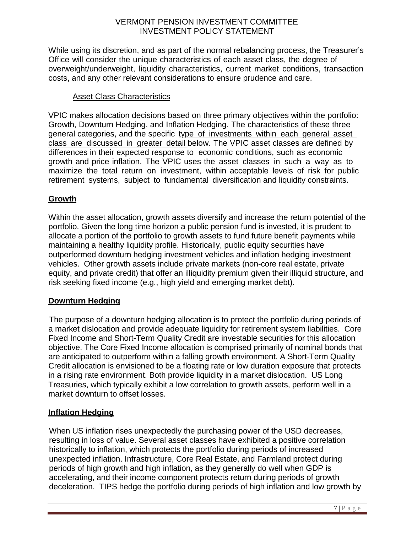While using its discretion, and as part of the normal rebalancing process, the Treasurer's Office will consider the unique characteristics of each asset class, the degree of overweight/underweight, liquidity characteristics, current market conditions, transaction costs, and any other relevant considerations to ensure prudence and care.

### Asset Class Characteristics

VPIC makes allocation decisions based on three primary objectives within the portfolio: Growth, Downturn Hedging, and Inflation Hedging. The characteristics of these three general categories, and the specific type of investments within each general asset class are discussed in greater detail below. The VPIC asset classes are defined by differences in their expected response to economic conditions, such as economic growth and price inflation. The VPIC uses the asset classes in such a way as to maximize the total return on investment, within acceptable levels of risk for public retirement systems, subject to fundamental diversification and liquidity constraints.

## **Growth**

Within the asset allocation, growth assets diversify and increase the return potential of the portfolio. Given the long time horizon a public pension fund is invested, it is prudent to allocate a portion of the portfolio to growth assets to fund future benefit payments while maintaining a healthy liquidity profile. Historically, public equity securities have outperformed downturn hedging investment vehicles and inflation hedging investment vehicles. Other growth assets include private markets (non-core real estate, private equity, and private credit) that offer an illiquidity premium given their illiquid structure, and risk seeking fixed income (e.g., high yield and emerging market debt).

### **Downturn Hedging**

The purpose of a downturn hedging allocation is to protect the portfolio during periods of a market dislocation and provide adequate liquidity for retirement system liabilities. Core Fixed Income and Short-Term Quality Credit are investable securities for this allocation objective. The Core Fixed Income allocation is comprised primarily of nominal bonds that are anticipated to outperform within a falling growth environment. A Short-Term Quality Credit allocation is envisioned to be a floating rate or low duration exposure that protects in a rising rate environment. Both provide liquidity in a market dislocation. US Long Treasuries, which typically exhibit a low correlation to growth assets, perform well in a market downturn to offset losses.

## **Inflation Hedging**

When US inflation rises unexpectedly the purchasing power of the USD decreases, resulting in loss of value. Several asset classes have exhibited a positive correlation historically to inflation, which protects the portfolio during periods of increased unexpected inflation. Infrastructure, Core Real Estate, and Farmland protect during periods of high growth and high inflation, as they generally do well when GDP is accelerating, and their income component protects return during periods of growth deceleration. TIPS hedge the portfolio during periods of high inflation and low growth by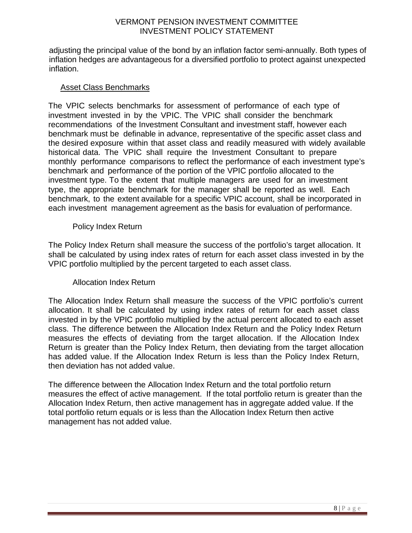adjusting the principal value of the bond by an inflation factor semi-annually. Both types of inflation hedges are advantageous for a diversified portfolio to protect against unexpected inflation.

#### Asset Class Benchmarks

The VPIC selects benchmarks for assessment of performance of each type of investment invested in by the VPIC. The VPIC shall consider the benchmark recommendations of the Investment Consultant and investment staff, however each benchmark must be definable in advance, representative of the specific asset class and the desired exposure within that asset class and readily measured with widely available historical data. The VPIC shall require the Investment Consultant to prepare monthly performance comparisons to reflect the performance of each investment type's benchmark and performance of the portion of the VPIC portfolio allocated to the investment type. To the extent that multiple managers are used for an investment type, the appropriate benchmark for the manager shall be reported as well. Each benchmark, to the extent available for a specific VPIC account, shall be incorporated in each investment management agreement as the basis for evaluation of performance.

#### Policy Index Return

The Policy Index Return shall measure the success of the portfolio's target allocation. It shall be calculated by using index rates of return for each asset class invested in by the VPIC portfolio multiplied by the percent targeted to each asset class.

### Allocation Index Return

The Allocation Index Return shall measure the success of the VPIC portfolio's current allocation. It shall be calculated by using index rates of return for each asset class invested in by the VPIC portfolio multiplied by the actual percent allocated to each asset class. The difference between the Allocation Index Return and the Policy Index Return measures the effects of deviating from the target allocation. If the Allocation Index Return is greater than the Policy Index Return, then deviating from the target allocation has added value. If the Allocation Index Return is less than the Policy Index Return, then deviation has not added value.

The difference between the Allocation Index Return and the total portfolio return measures the effect of active management. If the total portfolio return is greater than the Allocation Index Return, then active management has in aggregate added value. If the total portfolio return equals or is less than the Allocation Index Return then active management has not added value.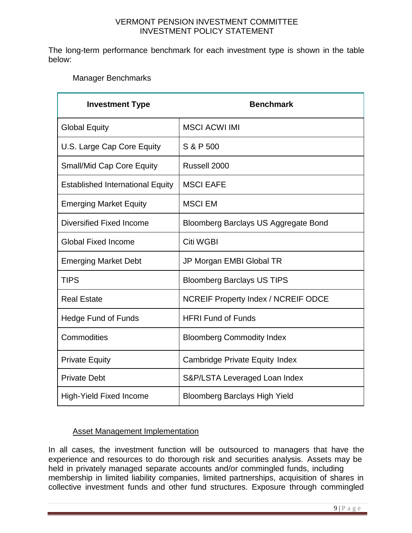The long-term performance benchmark for each investment type is shown in the table below:

Manager Benchmarks

| <b>Investment Type</b>                  | <b>Benchmark</b>                           |  |
|-----------------------------------------|--------------------------------------------|--|
| <b>Global Equity</b>                    | <b>MSCI ACWI IMI</b>                       |  |
| U.S. Large Cap Core Equity              | S & P 500                                  |  |
| <b>Small/Mid Cap Core Equity</b>        | Russell 2000                               |  |
| <b>Established International Equity</b> | <b>MSCI EAFE</b>                           |  |
| <b>Emerging Market Equity</b>           | <b>MSCI EM</b>                             |  |
| Diversified Fixed Income                | Bloomberg Barclays US Aggregate Bond       |  |
| <b>Global Fixed Income</b>              | <b>Citi WGBI</b>                           |  |
| <b>Emerging Market Debt</b>             | JP Morgan EMBI Global TR                   |  |
| <b>TIPS</b>                             | <b>Bloomberg Barclays US TIPS</b>          |  |
| <b>Real Estate</b>                      | <b>NCREIF Property Index / NCREIF ODCE</b> |  |
| <b>Hedge Fund of Funds</b>              | <b>HFRI Fund of Funds</b>                  |  |
| Commodities                             | <b>Bloomberg Commodity Index</b>           |  |
| <b>Private Equity</b>                   | Cambridge Private Equity Index             |  |
| <b>Private Debt</b>                     | S&P/LSTA Leveraged Loan Index              |  |
| <b>High-Yield Fixed Income</b>          | <b>Bloomberg Barclays High Yield</b>       |  |

## Asset Management Implementation

In all cases, the investment function will be outsourced to managers that have the experience and resources to do thorough risk and securities analysis. Assets may be held in privately managed separate accounts and/or commingled funds, including membership in limited liability companies, limited partnerships, acquisition of shares in collective investment funds and other fund structures. Exposure through commingled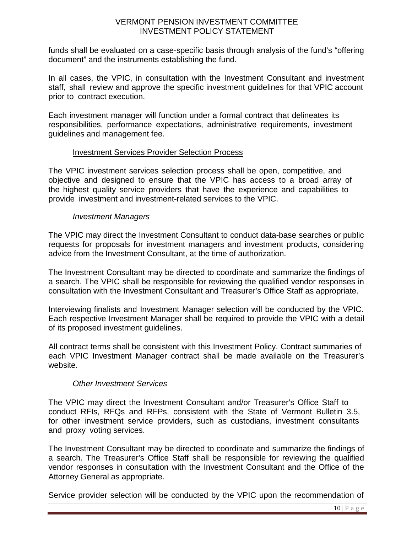funds shall be evaluated on a case-specific basis through analysis of the fund's "offering document" and the instruments establishing the fund.

In all cases, the VPIC, in consultation with the Investment Consultant and investment staff, shall review and approve the specific investment guidelines for that VPIC account prior to contract execution.

Each investment manager will function under a formal contract that delineates its responsibilities, performance expectations, administrative requirements, investment guidelines and management fee.

### Investment Services Provider Selection Process

The VPIC investment services selection process shall be open, competitive, and objective and designed to ensure that the VPIC has access to a broad array of the highest quality service providers that have the experience and capabilities to provide investment and investment-related services to the VPIC.

### *Investment Managers*

The VPIC may direct the Investment Consultant to conduct data-base searches or public requests for proposals for investment managers and investment products, considering advice from the Investment Consultant, at the time of authorization.

The Investment Consultant may be directed to coordinate and summarize the findings of a search. The VPIC shall be responsible for reviewing the qualified vendor responses in consultation with the Investment Consultant and Treasurer's Office Staff as appropriate.

Interviewing finalists and Investment Manager selection will be conducted by the VPIC. Each respective Investment Manager shall be required to provide the VPIC with a detail of its proposed investment guidelines.

All contract terms shall be consistent with this Investment Policy. Contract summaries of each VPIC Investment Manager contract shall be made available on the Treasurer's websit[e.](http://www.vermonttreasurer.gov/pension-funds/investment-guidelines)

### *Other Investment Services*

The VPIC may direct the Investment Consultant and/or Treasurer's Office Staff to conduct RFIs, RFQs and RFPs, consistent with the State of Vermont Bulletin 3.5, for other investment service providers, such as custodians, investment consultants and proxy voting services.

The Investment Consultant may be directed to coordinate and summarize the findings of a search. The Treasurer's Office Staff shall be responsible for reviewing the qualified vendor responses in consultation with the Investment Consultant and the Office of the Attorney General as appropriate.

Service provider selection will be conducted by the VPIC upon the recommendation of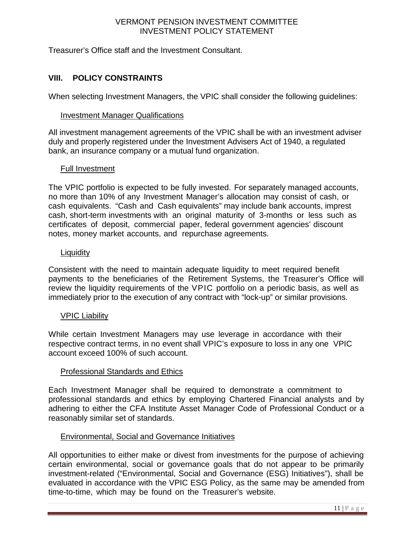Treasurer's Office staff and the Investment Consultant.

## **VIII. POLICY CONSTRAINTS**

When selecting Investment Managers, the VPIC shall consider the following guidelines:

#### Investment Manager Qualifications

All investment management agreements of the VPIC shall be with an investment adviser duly and properly registered under the Investment Advisers Act of 1940, a regulated bank, an insurance company or a mutual fund organization.

### Full Investment

The VPIC portfolio is expected to be fully invested. For separately managed accounts, no more than 10% of any Investment Manager's allocation may consist of cash, or cash equivalents. "Cash and Cash equivalents" may include bank accounts, imprest cash, short-term investments with an original maturity of 3-months or less such as certificates of deposit, commercial paper, federal government agencies' discount notes, money market accounts, and repurchase agreements.

#### **Liquidity**

Consistent with the need to maintain adequate liquidity to meet required benefit payments to the beneficiaries of the Retirement Systems, the Treasurer's Office will review the liquidity requirements of the VPIC portfolio on a periodic basis, as well as immediately prior to the execution of any contract with "lock-up" or similar provisions.

### VPIC Liability

While certain Investment Managers may use leverage in accordance with their respective contract terms, in no event shall VPIC's exposure to loss in any one VPIC account exceed 100% of such account.

### Professional Standards and Ethics

Each Investment Manager shall be required to demonstrate a commitment to professional standards and ethics by employing Chartered Financial analysts and by adhering to either the CFA Institute Asset Manager Code of Professional Conduct or a reasonably similar set of standards.

### Environmental, Social and Governance Initiatives

All opportunities to either make or divest from investments for the purpose of achieving certain environmental, social or governance goals that do not appear to be primarily investment-related ("Environmental, Social and Governance (ESG) Initiatives"), shall be evaluated in accordance with the VPIC ESG Policy, as the same may be amended from time-to-time, which may be found on the Treasurer's website.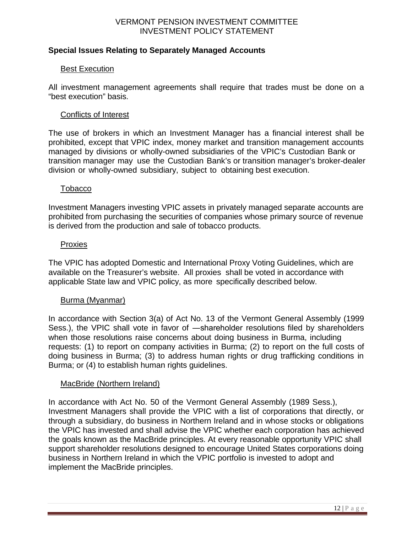### **Special Issues Relating to Separately Managed Accounts**

#### Best Execution

All investment management agreements shall require that trades must be done on a "best execution" basis.

#### Conflicts of Interest

The use of brokers in which an Investment Manager has a financial interest shall be prohibited, except that VPIC index, money market and transition management accounts managed by divisions or wholly-owned subsidiaries of the VPIC's Custodian Bank or transition manager may use the Custodian Bank's or transition manager's broker-dealer division or wholly-owned subsidiary, subject to obtaining best execution.

#### Tobacco

Investment Managers investing VPIC assets in privately managed separate accounts are prohibited from purchasing the securities of companies whose primary source of revenue is derived from the production and sale of tobacco products.

#### Proxies

The VPIC has adopted Domestic and International Proxy Voting Guidelines, which are available on the Treasurer's website. All proxies shall be voted in accordance with applicable State law and VPIC policy, as more specifically described below.

#### Burma (Myanmar)

In accordance with Section 3(a) of Act No. 13 of the Vermont General Assembly (1999 Sess.), the VPIC shall vote in favor of ―shareholder resolutions filed by shareholders when those resolutions raise concerns about doing business in Burma, including requests: (1) to report on company activities in Burma; (2) to report on the full costs of doing business in Burma; (3) to address human rights or drug trafficking conditions in Burma; or (4) to establish human rights guidelines.

#### MacBride (Northern Ireland)

In accordance with Act No. 50 of the Vermont General Assembly (1989 Sess.), Investment Managers shall provide the VPIC with a list of corporations that directly, or through a subsidiary, do business in Northern Ireland and in whose stocks or obligations the VPIC has invested and shall advise the VPIC whether each corporation has achieved the goals known as the MacBride principles. At every reasonable opportunity VPIC shall support shareholder resolutions designed to encourage United States corporations doing business in Northern Ireland in which the VPIC portfolio is invested to adopt and implement the MacBride principles.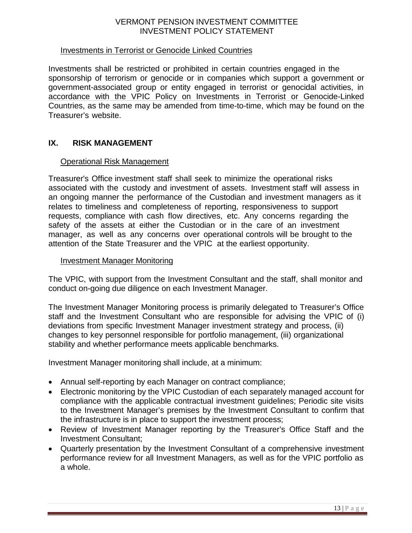#### Investments in Terrorist or Genocide Linked Countries

Investments shall be restricted or prohibited in certain countries engaged in the sponsorship of terrorism or genocide or in companies which support a government or government-associated group or entity engaged in terrorist or genocidal activities, in accordance with the VPIC Policy on Investments in Terrorist or Genocide-Linked Countries, as the same may be amended from time-to-time, which may be found on the Treasurer's website.

#### **IX. RISK MANAGEMENT**

#### Operational Risk Management

Treasurer's Office investment staff shall seek to minimize the operational risks associated with the custody and investment of assets. Investment staff will assess in an ongoing manner the performance of the Custodian and investment managers as it relates to timeliness and completeness of reporting, responsiveness to support requests, compliance with cash flow directives, etc. Any concerns regarding the safety of the assets at either the Custodian or in the care of an investment manager, as well as any concerns over operational controls will be brought to the attention of the State Treasurer and the VPIC at the earliest opportunity.

#### Investment Manager Monitoring

The VPIC, with support from the Investment Consultant and the staff, shall monitor and conduct on-going due diligence on each Investment Manager.

The Investment Manager Monitoring process is primarily delegated to Treasurer's Office staff and the Investment Consultant who are responsible for advising the VPIC of (i) deviations from specific Investment Manager investment strategy and process, (ii) changes to key personnel responsible for portfolio management, (iii) organizational stability and whether performance meets applicable benchmarks.

Investment Manager monitoring shall include, at a minimum:

- Annual self-reporting by each Manager on contract compliance;
- Electronic monitoring by the VPIC Custodian of each separately managed account for compliance with the applicable contractual investment guidelines; Periodic site visits to the Investment Manager's premises by the Investment Consultant to confirm that the infrastructure is in place to support the investment process;
- Review of Investment Manager reporting by the Treasurer's Office Staff and the Investment Consultant;
- Quarterly presentation by the Investment Consultant of a comprehensive investment performance review for all Investment Managers, as well as for the VPIC portfolio as a whole.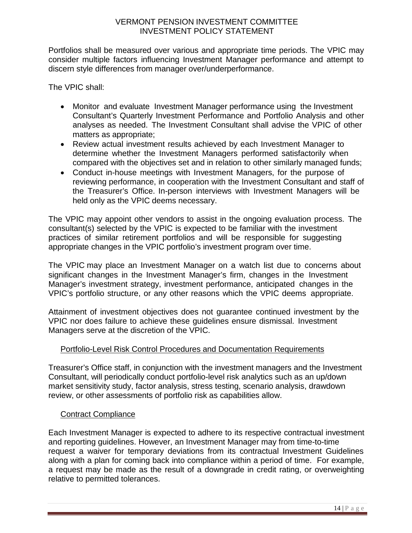Portfolios shall be measured over various and appropriate time periods. The VPIC may consider multiple factors influencing Investment Manager performance and attempt to discern style differences from manager over/underperformance.

The VPIC shall:

- Monitor and evaluate Investment Manager performance using the Investment Consultant's Quarterly Investment Performance and Portfolio Analysis and other analyses as needed. The Investment Consultant shall advise the VPIC of other matters as appropriate;
- Review actual investment results achieved by each Investment Manager to determine whether the Investment Managers performed satisfactorily when compared with the objectives set and in relation to other similarly managed funds;
- Conduct in-house meetings with Investment Managers, for the purpose of reviewing performance, in cooperation with the Investment Consultant and staff of the Treasurer's Office. In-person interviews with Investment Managers will be held only as the VPIC deems necessary.

The VPIC may appoint other vendors to assist in the ongoing evaluation process. The consultant(s) selected by the VPIC is expected to be familiar with the investment practices of similar retirement portfolios and will be responsible for suggesting appropriate changes in the VPIC portfolio's investment program over time.

The VPIC may place an Investment Manager on a watch list due to concerns about significant changes in the Investment Manager's firm, changes in the Investment Manager's investment strategy, investment performance, anticipated changes in the VPIC's portfolio structure, or any other reasons which the VPIC deems appropriate.

Attainment of investment objectives does not guarantee continued investment by the VPIC nor does failure to achieve these guidelines ensure dismissal. Investment Managers serve at the discretion of the VPIC.

## Portfolio-Level Risk Control Procedures and Documentation Requirements

Treasurer's Office staff, in conjunction with the investment managers and the Investment Consultant, will periodically conduct portfolio-level risk analytics such as an up/down market sensitivity study, factor analysis, stress testing, scenario analysis, drawdown review, or other assessments of portfolio risk as capabilities allow.

### Contract Compliance

Each Investment Manager is expected to adhere to its respective contractual investment and reporting guidelines. However, an Investment Manager may from time-to-time request a waiver for temporary deviations from its contractual Investment Guidelines along with a plan for coming back into compliance within a period of time. For example, a request may be made as the result of a downgrade in credit rating, or overweighting relative to permitted tolerances.